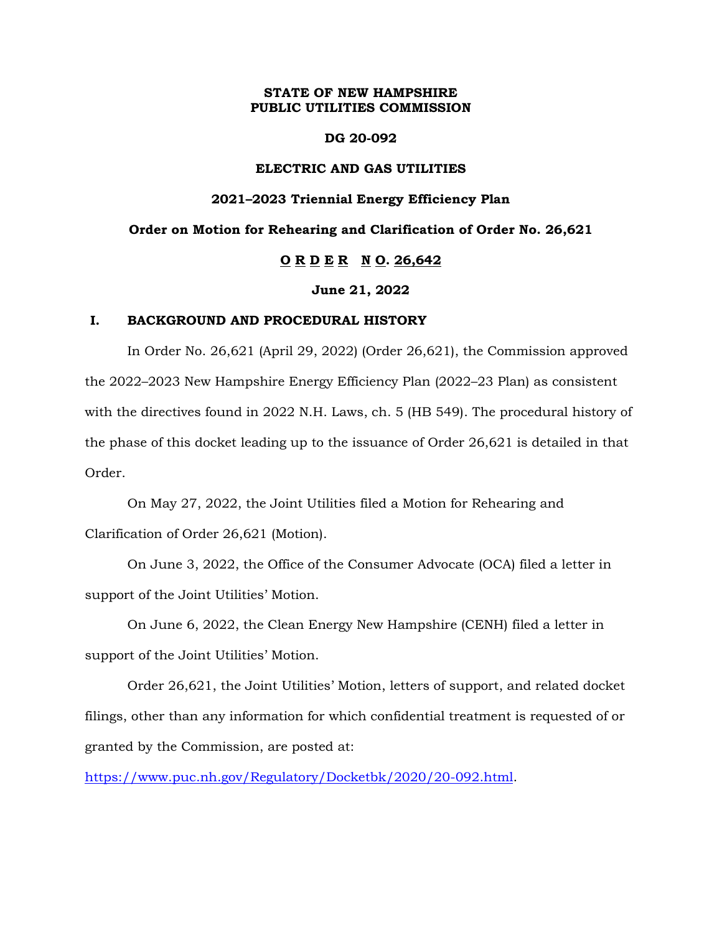## **STATE OF NEW HAMPSHIRE PUBLIC UTILITIES COMMISSION**

#### **DG 20-092**

## **ELECTRIC AND GAS UTILITIES**

#### **2021–2023 Triennial Energy Efficiency Plan**

# **Order on Motion for Rehearing and Clarification of Order No. 26,621**

# **O R D E R N O. 26,642**

#### **June 21, 2022**

#### **I. BACKGROUND AND PROCEDURAL HISTORY**

In Order No. 26,621 (April 29, 2022) (Order 26,621), the Commission approved the 2022–2023 New Hampshire Energy Efficiency Plan (2022–23 Plan) as consistent with the directives found in 2022 N.H. Laws, ch. 5 (HB 549). The procedural history of the phase of this docket leading up to the issuance of Order 26,621 is detailed in that Order.

On May 27, 2022, the Joint Utilities filed a Motion for Rehearing and Clarification of Order 26,621 (Motion).

On June 3, 2022, the Office of the Consumer Advocate (OCA) filed a letter in support of the Joint Utilities' Motion.

On June 6, 2022, the Clean Energy New Hampshire (CENH) filed a letter in support of the Joint Utilities' Motion.

Order 26,621, the Joint Utilities' Motion, letters of support, and related docket filings, other than any information for which confidential treatment is requested of or granted by the Commission, are posted at:

[https://www.puc.nh.gov/Regulatory/Docketbk/2020/20-092.html.](https://www.puc.nh.gov/Regulatory/Docketbk/2020/20-092.html)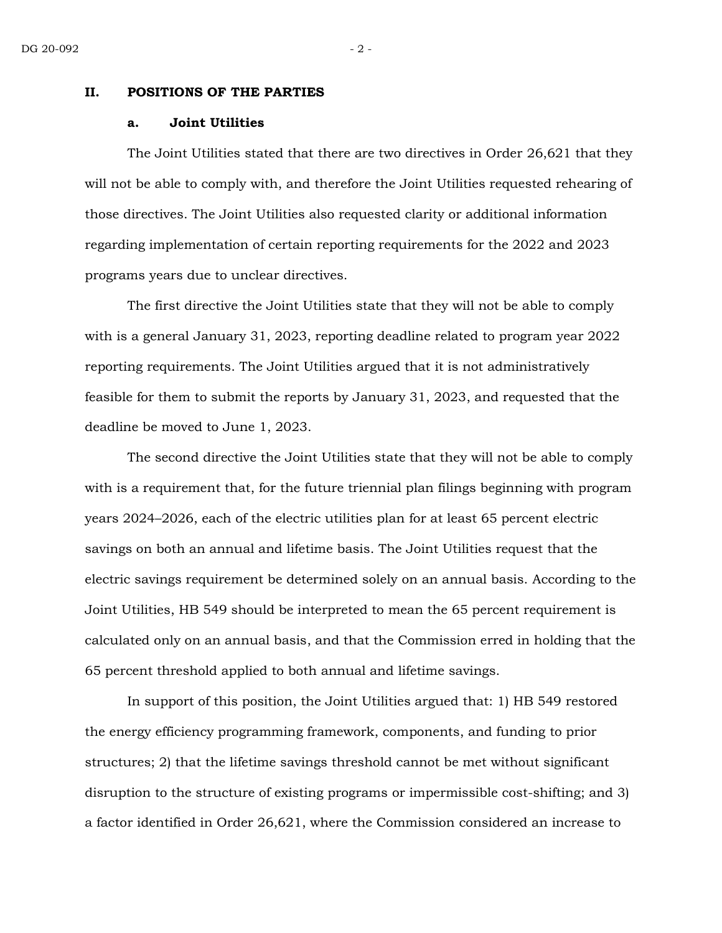#### **II. POSITIONS OF THE PARTIES**

#### **a. Joint Utilities**

The Joint Utilities stated that there are two directives in Order 26,621 that they will not be able to comply with, and therefore the Joint Utilities requested rehearing of those directives. The Joint Utilities also requested clarity or additional information regarding implementation of certain reporting requirements for the 2022 and 2023 programs years due to unclear directives.

The first directive the Joint Utilities state that they will not be able to comply with is a general January 31, 2023, reporting deadline related to program year 2022 reporting requirements. The Joint Utilities argued that it is not administratively feasible for them to submit the reports by January 31, 2023, and requested that the deadline be moved to June 1, 2023.

The second directive the Joint Utilities state that they will not be able to comply with is a requirement that, for the future triennial plan filings beginning with program years 2024–2026, each of the electric utilities plan for at least 65 percent electric savings on both an annual and lifetime basis. The Joint Utilities request that the electric savings requirement be determined solely on an annual basis. According to the Joint Utilities, HB 549 should be interpreted to mean the 65 percent requirement is calculated only on an annual basis, and that the Commission erred in holding that the 65 percent threshold applied to both annual and lifetime savings.

In support of this position, the Joint Utilities argued that: 1) HB 549 restored the energy efficiency programming framework, components, and funding to prior structures; 2) that the lifetime savings threshold cannot be met without significant disruption to the structure of existing programs or impermissible cost-shifting; and 3) a factor identified in Order 26,621, where the Commission considered an increase to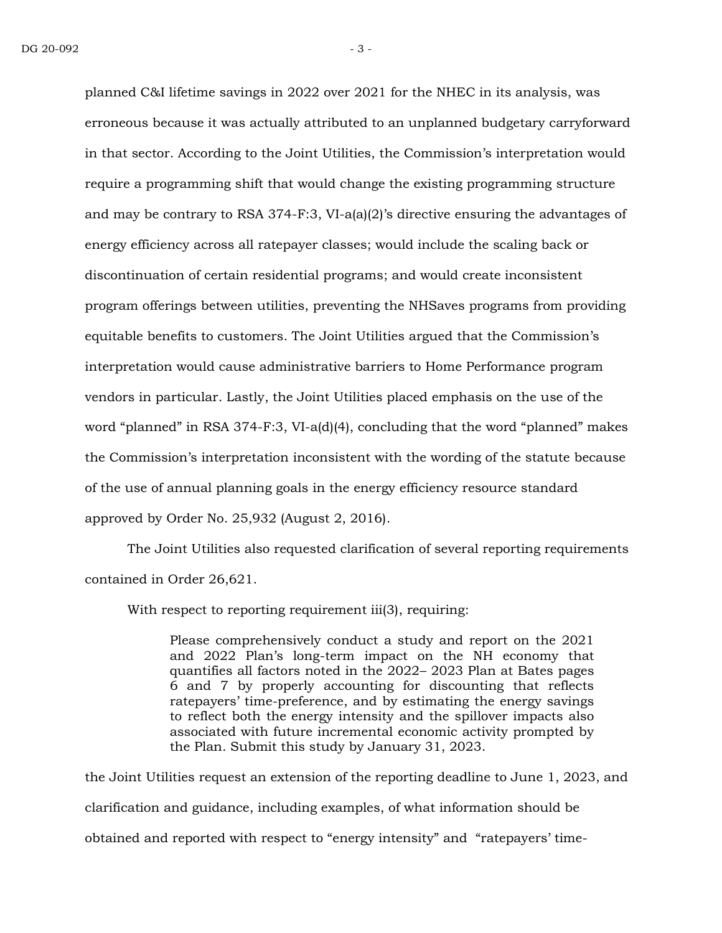planned C&I lifetime savings in 2022 over 2021 for the NHEC in its analysis, was erroneous because it was actually attributed to an unplanned budgetary carryforward in that sector. According to the Joint Utilities, the Commission's interpretation would require a programming shift that would change the existing programming structure and may be contrary to RSA 374-F:3, VI-a(a)(2)'s directive ensuring the advantages of energy efficiency across all ratepayer classes; would include the scaling back or discontinuation of certain residential programs; and would create inconsistent program offerings between utilities, preventing the NHSaves programs from providing equitable benefits to customers. The Joint Utilities argued that the Commission's interpretation would cause administrative barriers to Home Performance program vendors in particular. Lastly, the Joint Utilities placed emphasis on the use of the word "planned" in RSA 374-F:3, VI-a(d)(4), concluding that the word "planned" makes the Commission's interpretation inconsistent with the wording of the statute because of the use of annual planning goals in the energy efficiency resource standard approved by Order No. 25,932 (August 2, 2016).

The Joint Utilities also requested clarification of several reporting requirements contained in Order 26,621.

With respect to reporting requirement iii(3), requiring:

Please comprehensively conduct a study and report on the 2021 and 2022 Plan's long-term impact on the NH economy that quantifies all factors noted in the 2022– 2023 Plan at Bates pages 6 and 7 by properly accounting for discounting that reflects ratepayers' time-preference, and by estimating the energy savings to reflect both the energy intensity and the spillover impacts also associated with future incremental economic activity prompted by the Plan. Submit this study by January 31, 2023.

the Joint Utilities request an extension of the reporting deadline to June 1, 2023, and clarification and guidance, including examples, of what information should be obtained and reported with respect to "energy intensity" and "ratepayers' time-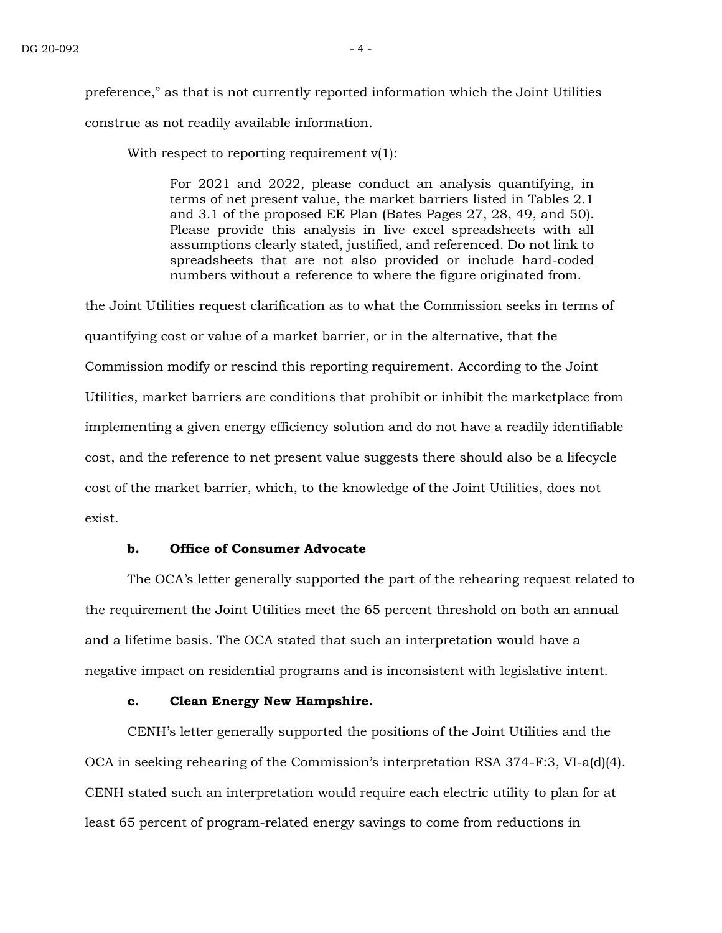preference," as that is not currently reported information which the Joint Utilities construe as not readily available information.

With respect to reporting requirement  $v(1)$ :

For 2021 and 2022, please conduct an analysis quantifying, in terms of net present value, the market barriers listed in Tables 2.1 and 3.1 of the proposed EE Plan (Bates Pages 27, 28, 49, and 50). Please provide this analysis in live excel spreadsheets with all assumptions clearly stated, justified, and referenced. Do not link to spreadsheets that are not also provided or include hard-coded numbers without a reference to where the figure originated from.

the Joint Utilities request clarification as to what the Commission seeks in terms of quantifying cost or value of a market barrier, or in the alternative, that the Commission modify or rescind this reporting requirement. According to the Joint Utilities, market barriers are conditions that prohibit or inhibit the marketplace from implementing a given energy efficiency solution and do not have a readily identifiable cost, and the reference to net present value suggests there should also be a lifecycle cost of the market barrier, which, to the knowledge of the Joint Utilities, does not exist.

# **b. Office of Consumer Advocate**

The OCA's letter generally supported the part of the rehearing request related to the requirement the Joint Utilities meet the 65 percent threshold on both an annual and a lifetime basis. The OCA stated that such an interpretation would have a negative impact on residential programs and is inconsistent with legislative intent.

# **c. Clean Energy New Hampshire.**

CENH's letter generally supported the positions of the Joint Utilities and the OCA in seeking rehearing of the Commission's interpretation RSA 374-F:3, VI-a(d)(4). CENH stated such an interpretation would require each electric utility to plan for at least 65 percent of program-related energy savings to come from reductions in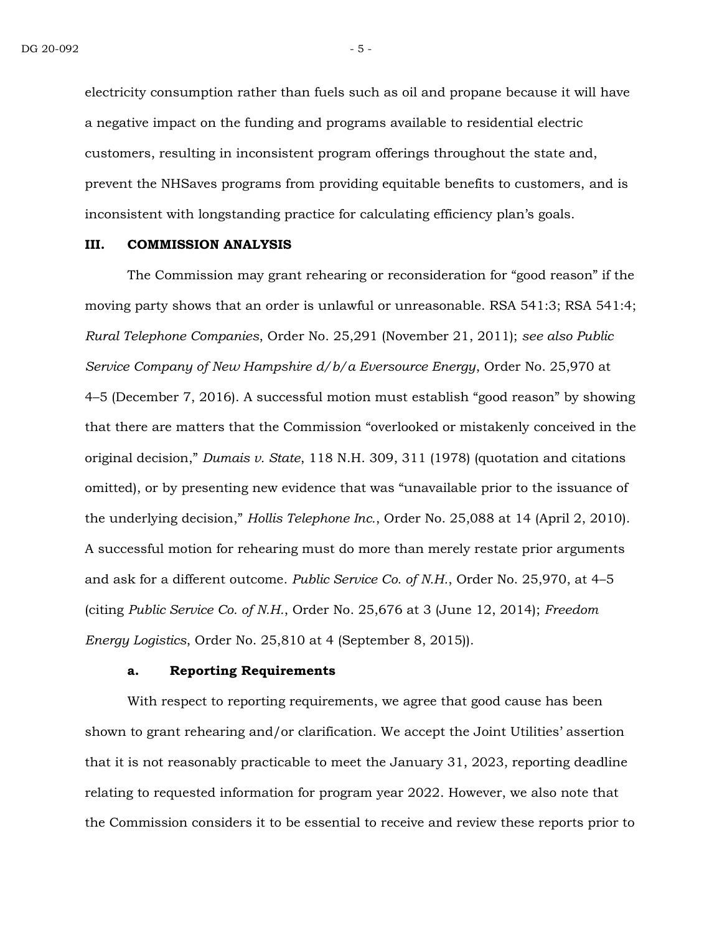electricity consumption rather than fuels such as oil and propane because it will have a negative impact on the funding and programs available to residential electric customers, resulting in inconsistent program offerings throughout the state and, prevent the NHSaves programs from providing equitable benefits to customers, and is inconsistent with longstanding practice for calculating efficiency plan's goals.

#### **III. COMMISSION ANALYSIS**

The Commission may grant rehearing or reconsideration for "good reason" if the moving party shows that an order is unlawful or unreasonable. RSA 541:3; RSA 541:4; *Rural Telephone Companies*, Order No. 25,291 (November 21, 2011); *see also Public Service Company of New Hampshire d/b/a Eversource Energy*, Order No. 25,970 at 4–5 (December 7, 2016). A successful motion must establish "good reason" by showing that there are matters that the Commission "overlooked or mistakenly conceived in the original decision," *Dumais v. State*, 118 N.H. 309, 311 (1978) (quotation and citations omitted), or by presenting new evidence that was "unavailable prior to the issuance of the underlying decision," *Hollis Telephone Inc.*, Order No. 25,088 at 14 (April 2, 2010). A successful motion for rehearing must do more than merely restate prior arguments and ask for a different outcome. *Public Service Co. of N.H.*, Order No. 25,970, at 4–5 (citing *Public Service Co. of N.H.*, Order No. 25,676 at 3 (June 12, 2014); *Freedom Energy Logistics*, Order No. 25,810 at 4 (September 8, 2015)).

#### **a. Reporting Requirements**

With respect to reporting requirements, we agree that good cause has been shown to grant rehearing and/or clarification. We accept the Joint Utilities' assertion that it is not reasonably practicable to meet the January 31, 2023, reporting deadline relating to requested information for program year 2022. However, we also note that the Commission considers it to be essential to receive and review these reports prior to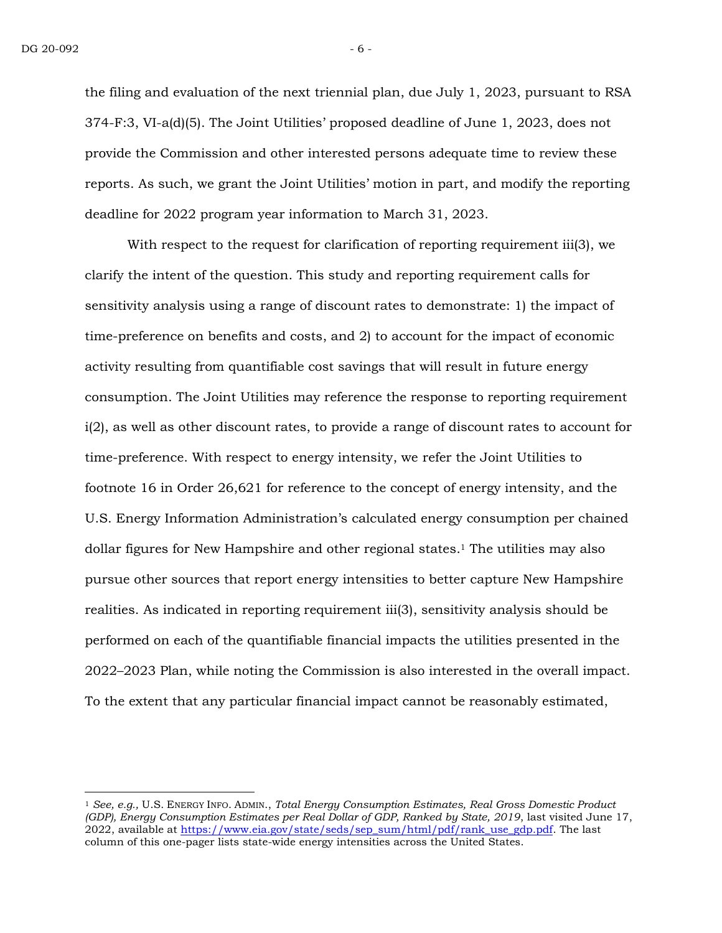the filing and evaluation of the next triennial plan, due July 1, 2023, pursuant to RSA 374-F:3, VI-a(d)(5). The Joint Utilities' proposed deadline of June 1, 2023, does not provide the Commission and other interested persons adequate time to review these reports. As such, we grant the Joint Utilities' motion in part, and modify the reporting deadline for 2022 program year information to March 31, 2023.

With respect to the request for clarification of reporting requirement iii(3), we clarify the intent of the question. This study and reporting requirement calls for sensitivity analysis using a range of discount rates to demonstrate: 1) the impact of time-preference on benefits and costs, and 2) to account for the impact of economic activity resulting from quantifiable cost savings that will result in future energy consumption. The Joint Utilities may reference the response to reporting requirement i(2), as well as other discount rates, to provide a range of discount rates to account for time-preference. With respect to energy intensity, we refer the Joint Utilities to footnote 16 in Order 26,621 for reference to the concept of energy intensity, and the U.S. Energy Information Administration's calculated energy consumption per chained dollar figures for New Hampshire and other regional states. <sup>1</sup> The utilities may also pursue other sources that report energy intensities to better capture New Hampshire realities. As indicated in reporting requirement iii(3), sensitivity analysis should be performed on each of the quantifiable financial impacts the utilities presented in the 2022–2023 Plan, while noting the Commission is also interested in the overall impact. To the extent that any particular financial impact cannot be reasonably estimated,

<sup>1</sup> *See, e.g.,* U.S. ENERGY INFO. ADMIN., *Total Energy Consumption Estimates, Real Gross Domestic Product (GDP), Energy Consumption Estimates per Real Dollar of GDP, Ranked by State, 2019*, last visited June 17,  $2022$ , available at [https://www.eia.gov/state/seds/sep\\_sum/html/pdf/rank\\_use\\_gdp.pdf.](https://www.eia.gov/state/seds/sep_sum/html/pdf/rank_use_gdp.pdf) The last column of this one-pager lists state-wide energy intensities across the United States.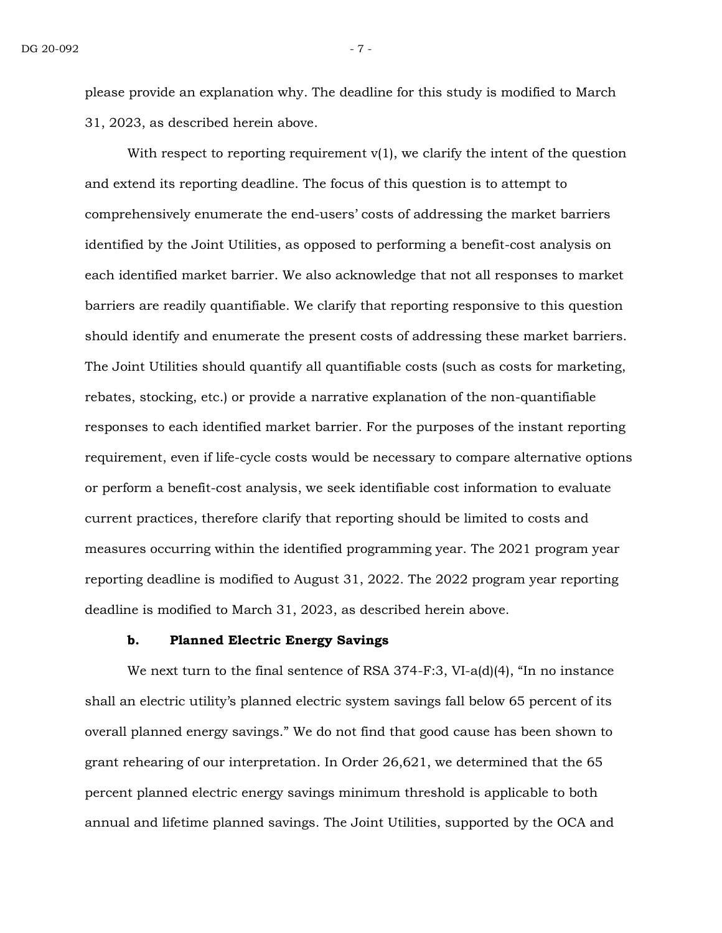please provide an explanation why. The deadline for this study is modified to March 31, 2023, as described herein above.

With respect to reporting requirement  $v(1)$ , we clarify the intent of the question and extend its reporting deadline. The focus of this question is to attempt to comprehensively enumerate the end-users' costs of addressing the market barriers identified by the Joint Utilities, as opposed to performing a benefit-cost analysis on each identified market barrier. We also acknowledge that not all responses to market barriers are readily quantifiable. We clarify that reporting responsive to this question should identify and enumerate the present costs of addressing these market barriers. The Joint Utilities should quantify all quantifiable costs (such as costs for marketing, rebates, stocking, etc.) or provide a narrative explanation of the non-quantifiable responses to each identified market barrier. For the purposes of the instant reporting requirement, even if life-cycle costs would be necessary to compare alternative options or perform a benefit-cost analysis, we seek identifiable cost information to evaluate current practices, therefore clarify that reporting should be limited to costs and measures occurring within the identified programming year. The 2021 program year reporting deadline is modified to August 31, 2022. The 2022 program year reporting deadline is modified to March 31, 2023, as described herein above.

## **b. Planned Electric Energy Savings**

We next turn to the final sentence of RSA 374-F:3, VI-a(d)(4), "In no instance shall an electric utility's planned electric system savings fall below 65 percent of its overall planned energy savings." We do not find that good cause has been shown to grant rehearing of our interpretation. In Order 26,621, we determined that the 65 percent planned electric energy savings minimum threshold is applicable to both annual and lifetime planned savings. The Joint Utilities, supported by the OCA and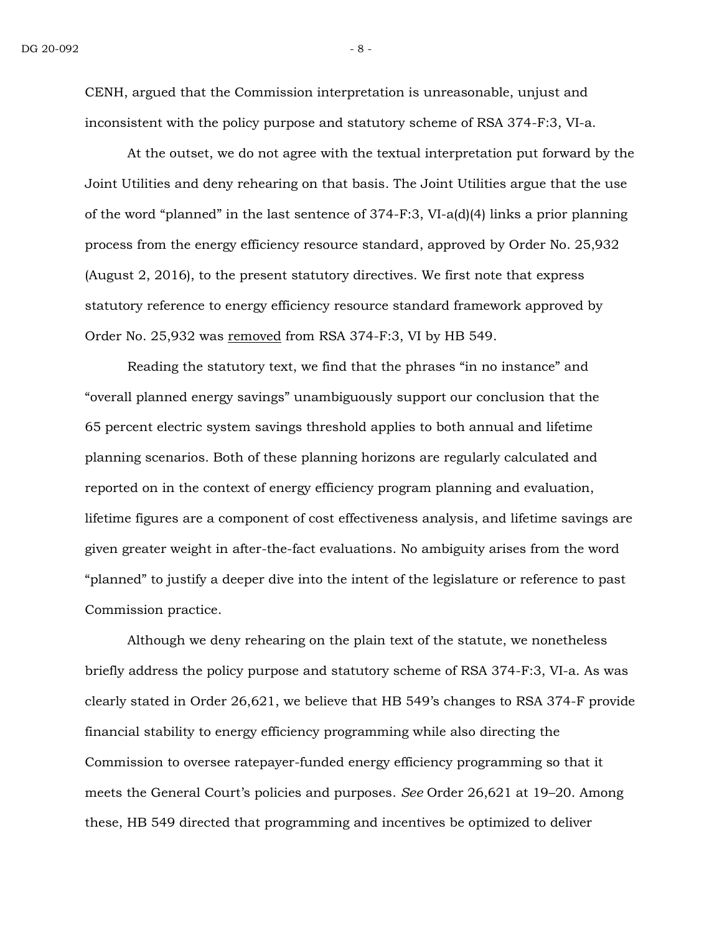CENH, argued that the Commission interpretation is unreasonable, unjust and inconsistent with the policy purpose and statutory scheme of RSA 374-F:3, VI-a.

At the outset, we do not agree with the textual interpretation put forward by the Joint Utilities and deny rehearing on that basis. The Joint Utilities argue that the use of the word "planned" in the last sentence of 374-F:3, VI-a(d)(4) links a prior planning process from the energy efficiency resource standard, approved by Order No. 25,932 (August 2, 2016), to the present statutory directives. We first note that express statutory reference to energy efficiency resource standard framework approved by Order No. 25,932 was removed from RSA 374-F:3, VI by HB 549.

Reading the statutory text, we find that the phrases "in no instance" and "overall planned energy savings" unambiguously support our conclusion that the 65 percent electric system savings threshold applies to both annual and lifetime planning scenarios. Both of these planning horizons are regularly calculated and reported on in the context of energy efficiency program planning and evaluation, lifetime figures are a component of cost effectiveness analysis, and lifetime savings are given greater weight in after-the-fact evaluations. No ambiguity arises from the word "planned" to justify a deeper dive into the intent of the legislature or reference to past Commission practice.

Although we deny rehearing on the plain text of the statute, we nonetheless briefly address the policy purpose and statutory scheme of RSA 374-F:3, VI-a. As was clearly stated in Order 26,621, we believe that HB 549's changes to RSA 374-F provide financial stability to energy efficiency programming while also directing the Commission to oversee ratepayer-funded energy efficiency programming so that it meets the General Court's policies and purposes. *See* Order 26,621 at 19–20. Among these, HB 549 directed that programming and incentives be optimized to deliver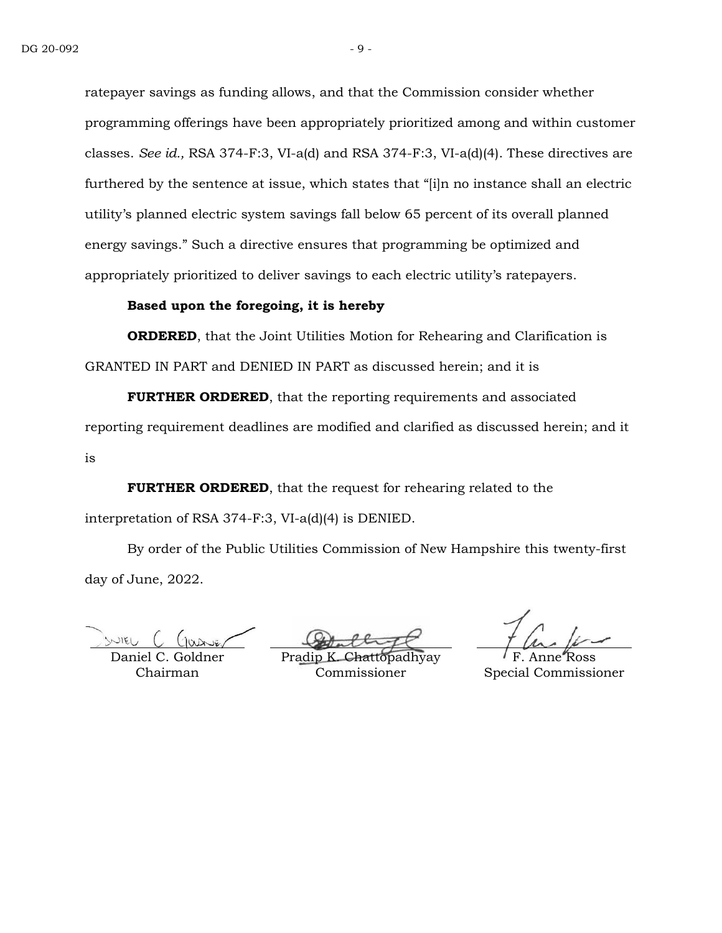ratepayer savings as funding allows, and that the Commission consider whether programming offerings have been appropriately prioritized among and within customer classes. *See id.,* RSA 374-F:3, VI-a(d) and RSA 374-F:3, VI-a(d)(4). These directives are furthered by the sentence at issue, which states that "[i]n no instance shall an electric utility's planned electric system savings fall below 65 percent of its overall planned energy savings." Such a directive ensures that programming be optimized and appropriately prioritized to deliver savings to each electric utility's ratepayers.

# **Based upon the foregoing, it is hereby**

**ORDERED**, that the Joint Utilities Motion for Rehearing and Clarification is GRANTED IN PART and DENIED IN PART as discussed herein; and it is

**FURTHER ORDERED**, that the reporting requirements and associated reporting requirement deadlines are modified and clarified as discussed herein; and it is

**FURTHER ORDERED**, that the request for rehearing related to the interpretation of RSA 374-F:3, VI-a(d)(4) is DENIED.

By order of the Public Utilities Commission of New Hampshire this twenty-first day of June, 2022.

WIEL

Daniel C. Goldner Chairman

Pradip **K** Commissioner

F. Anne Ross Special Commissioner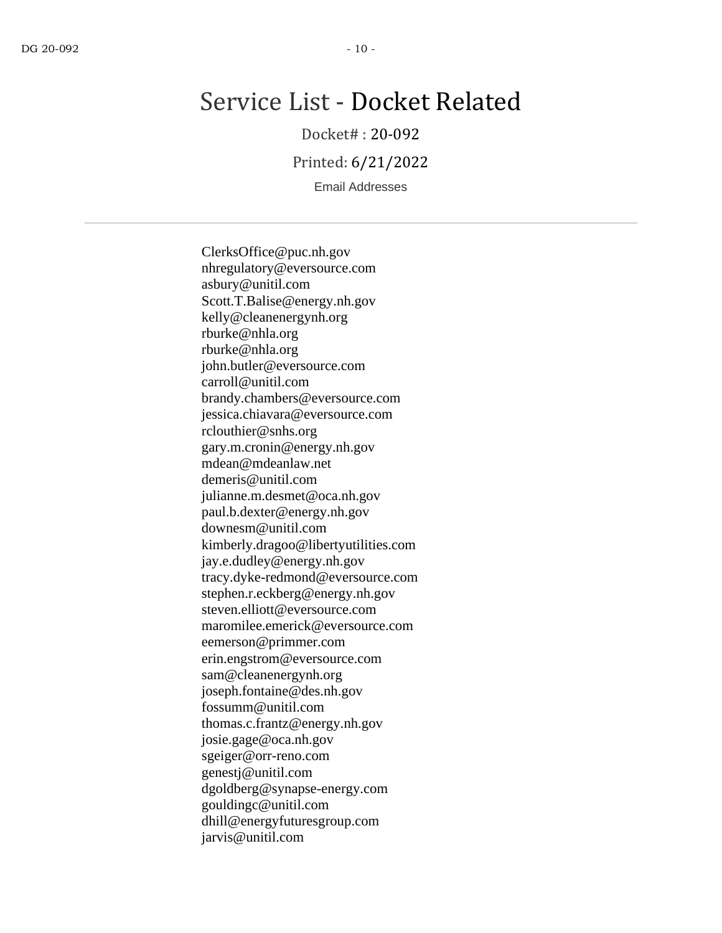# Service List - Docket Related

Docket# : 20-092

Printed: 6/21/2022

Email Addresses

ClerksOffice@puc.nh.gov nhregulatory@eversource.com asbury@unitil.com Scott.T.Balise@energy.nh.gov kelly@cleanenergynh.org rburke@nhla.org rburke@nhla.org john.butler@eversource.com carroll@unitil.com brandy.chambers@eversource.com jessica.chiavara@eversource.com rclouthier@snhs.org gary.m.cronin@energy.nh.gov mdean@mdeanlaw.net demeris@unitil.com julianne.m.desmet@oca.nh.gov paul.b.dexter@energy.nh.gov downesm@unitil.com kimberly.dragoo@libertyutilities.com jay.e.dudley@energy.nh.gov tracy.dyke-redmond@eversource.com stephen.r.eckberg@energy.nh.gov steven.elliott@eversource.com maromilee.emerick@eversource.com eemerson@primmer.com erin.engstrom@eversource.com sam@cleanenergynh.org joseph.fontaine@des.nh.gov fossumm@unitil.com thomas.c.frantz@energy.nh.gov josie.gage@oca.nh.gov sgeiger@orr-reno.com genestj@unitil.com dgoldberg@synapse-energy.com gouldingc@unitil.com dhill@energyfuturesgroup.com jarvis@unitil.com